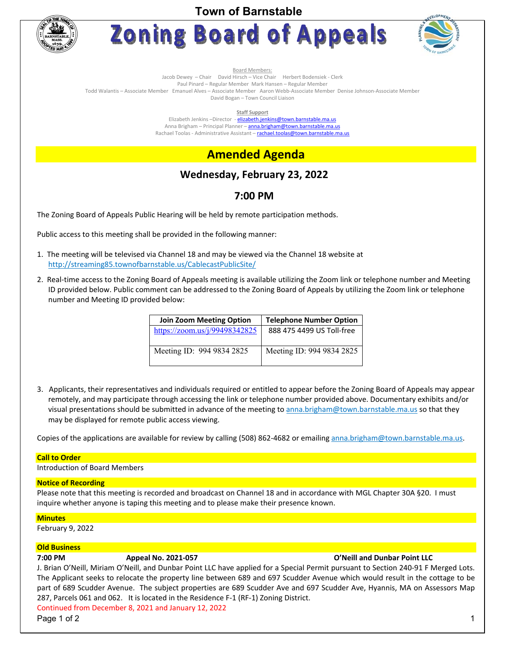**Town of Barnstable** 



**Zoning Board of Appeals** 



Board Members:

Jacob Dewey – Chair David Hirsch – Vice Chair Herbert Bodensiek - Clerk

Paul Pinard – Regular Member Mark Hansen – Regular Member

Todd Walantis – Associate Member Emanuel Alves – Associate Member Aaron Webb-Associate Member Denise Johnson-Associate Member David Bogan – Town Council Liaison

**Staff Support** 

Elizabeth Jenkins -Director - elizabeth.jenkins@town.barnstable.ma.us Anna Brigham – Principal Planner – **anna.brigham@town.barnstable.ma.us** Rachael Toolas - Administrative Assistant - rachael.toolas@town.barnstable.ma.us

# **Amended Agenda**

## **Wednesday, February 23, 2022**

## **7:00 PM**

The Zoning Board of Appeals Public Hearing will be held by remote participation methods.

Public access to this meeting shall be provided in the following manner:

- 1. The meeting will be televised via Channel 18 and may be viewed via the Channel 18 website at http://streaming85.townofbarnstable.us/CablecastPublicSite/
- 2. Real-time access to the Zoning Board of Appeals meeting is available utilizing the Zoom link or telephone number and Meeting ID provided below. Public comment can be addressed to the Zoning Board of Appeals by utilizing the Zoom link or telephone number and Meeting ID provided below:

| <b>Join Zoom Meeting Option</b> | <b>Telephone Number Option</b> |
|---------------------------------|--------------------------------|
| https://zoom.us/j/99498342825   | 888 475 4499 US Toll-free      |
| Meeting ID: 994 9834 2825       | Meeting ID: 994 9834 2825      |

3. Applicants, their representatives and individuals required or entitled to appear before the Zoning Board of Appeals may appear remotely, and may participate through accessing the link or telephone number provided above. Documentary exhibits and/or visual presentations should be submitted in advance of the meeting to anna.brigham@town.barnstable.ma.us so that they may be displayed for remote public access viewing.

Copies of the applications are available for review by calling (508) 862-4682 or emailing anna.brigham@town.barnstable.ma.us.

### **Call to Order**

Introduction of Board Members

### **Notice of Recording**

Please note that this meeting is recorded and broadcast on Channel 18 and in accordance with MGL Chapter 30A §20. I must inquire whether anyone is taping this meeting and to please make their presence known.

### **Minutes**

February 9, 2022

### **Old Business**

### **7:00 PM Appeal No. 2021-057 O'Neill and Dunbar Point LLC**

J. Brian O'Neill, Miriam O'Neill, and Dunbar Point LLC have applied for a Special Permit pursuant to Section 240-91 F Merged Lots. The Applicant seeks to relocate the property line between 689 and 697 Scudder Avenue which would result in the cottage to be part of 689 Scudder Avenue. The subject properties are 689 Scudder Ave and 697 Scudder Ave, Hyannis, MA on Assessors Map 287, Parcels 061 and 062. It is located in the Residence F-1 (RF-1) Zoning District.

Continued from December 8, 2021 and January 12, 2022

Page 1 of 2  $\hphantom{\text{a}}$